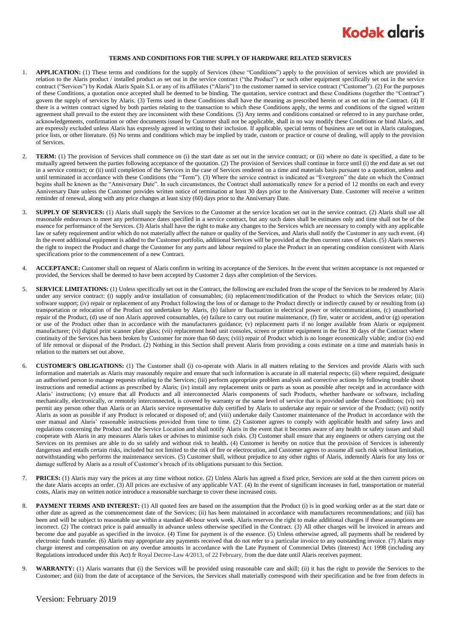

## **TERMS AND CONDITIONS FOR THE SUPPLY OF HARDWARE RELATED SERVICES**

- 1. **APPLICATION:** (1) These terms and conditions for the supply of Services (these "Conditions") apply to the provision of services which are provided in relation to the Alaris product / installed product as set out in the service contract ("the Product") or such other equipment specifically set out in the service contract ("Services") by Kodak Alaris Spain S.L or any of its affiliates ("Alaris") to the customer named in service contract ("Customer"). (2) For the purposes of these Conditions, a quotation once accepted shall be deemed to be binding. The quotation, service contract and these Conditions (together the "Contract") govern the supply of services by Alaris. (3) Terms used in these Conditions shall have the meaning as prescribed herein or as set out in the Contract. (4) If there is a written contract signed by both parties relating to the transaction to which these Conditions apply, the terms and conditions of the signed written agreement shall prevail to the extent they are inconsistent with these Conditions. (5) Any terms and conditions contained or referred to in any purchase order, acknowledgements, confirmation or other documents issued by Customer shall not be applicable, shall in no way modify these Conditions or bind Alaris, and are expressly excluded unless Alaris has expressly agreed in writing to their inclusion. If applicable, special terms of business are set out in Alaris catalogues, price lists, or other literature. (6) No terms and conditions which may be implied by trade, custom or practice or course of dealing, will apply to the provision of Services.
- 2. **TERM:** (1) The provision of Services shall commence on (i) the start date as set out in the service contract; or (ii) where no date is specified, a date to be mutually agreed between the parties following acceptance of the quotation. (2) The provision of Services shall continue in force until (i) the end date as set out in a service contract; or (ii) until completion of the Services in the case of Services rendered on a time and materials basis pursuant to a quotation, unless and until terminated in accordance with these Conditions (the "Term"). (3) Where the service contract is indicated as "Evergreen" the date on which the Contract begins shall be known as the "Anniversary Date". In such circumstances, the Contract shall automatically renew for a period of 12 months on each and every Anniversary Date unless the Customer provides written notice of termination at least 30 days prior to the Anniversary Date. Customer will receive a written reminder of renewal, along with any price changes at least sixty (60) days prior to the Anniversary Date.
- 3. **SUPPLY OF SERVICES:** (1) Alaris shall supply the Services to the Customer at the service location set out in the service contract. (2) Alaris shall use all reasonable endeavours to meet any performance dates specified in a service contract, but any such dates shall be estimates only and time shall not be of the essence for performance of the Services. (3) Alaris shall have the right to make any changes to the Services which are necessary to comply with any applicable law or safety requirement and/or which do not materially affect the nature or quality of the Services, and Alaris shall notify the Customer in any such event. (4) In the event additional equipment is added to the Customer portfolio, additional Services will be provided at the then current rates of Alaris. (5) Alaris reserves the right to inspect the Product and charge the Customer for any parts and labour required to place the Product in an operating condition consistent with Alaris specifications prior to the commencement of a new Contract.
- 4. **ACCEPTANCE:** Customer shall on request of Alaris confirm in writing its acceptance of the Services. In the event that written acceptance is not requested or provided, the Services shall be deemed to have been accepted by Customer 2 days after completion of the Services.
- 5. **SERVICE LIMITATIONS:** (1) Unless specifically set out in the Contract, the following are excluded from the scope of the Services to be rendered by Alaris under any service contract: (i) supply and/or installation of consumables; (ii) replacement/modification of the Product to which the Services relate; (iii) software support; (iv) repair or replacement of any Product following the loss of or damage to the Product directly or indirectly caused by or resulting from (a) transportation or relocation of the Product not undertaken by Alaris, (b) failure or fluctuation in electrical power or telecommunications, (c) unauthorised repair of the Product, (d) use of non Alaris approved consumables, (e) failure to carry out routine maintenance, (f) fire, water or accident, and/or (g) operation or use of the Product other than in accordance with the manufacturers guidance; (v) replacement parts if no longer available from Alaris or equipment manufacturer; (vi) digital print scanner plate glass; (vii) replacement head unit consoles, screen or printer equipment in the first 30 days of the Contract where continuity of the Services has been broken by Customer for more than 60 days; (viii) repair of Product which is no longer economically viable; and/or (ix) end of life removal or disposal of the Product. (2) Nothing in this Section shall prevent Alaris from providing a costs estimate on a time and materials basis in relation to the matters set out above.
- <span id="page-0-0"></span>6. **CUSTOMER'S OBLIGATIONS:** (1) The Customer shall (i) co-operate with Alaris in all matters relating to the Services and provide Alaris with such information and materials as Alaris may reasonably require and ensure that such information is accurate in all material respects; (ii) where required, designate an authorised person to manage requests relating to the Services; (iii) perform appropriate problem analysis and corrective actions by following trouble shoot instructions and remedial actions as prescribed by Alaris; (iv) install any replacement units or parts as soon as possible after receipt and in accordance with Alaris' instructions; (v) ensure that all Products and all interconnected Alaris components of such Products, whether hardware or software, including mechanically, electronically, or remotely interconnected, is covered by warranty or the same level of service that is provided under these Conditions; (vi) not permit any person other than Alaris or an Alaris service representative duly certified by Alaris to undertake any repair or service of the Product; (vii) notify Alaris as soon as possible if any Product is relocated or disposed of; and (viii) undertake daily Customer maintenance of the Product in accordance with the user manual and Alaris' reasonable instructions provided from time to time. (2) Customer agrees to comply with applicable health and safety laws and regulations concerning the Product and the Service Location and shall notify Alaris in the event that it becomes aware of any health or safety issues and shall cooperate with Alaris in any measures Alaris takes or advises to minimise such risks. (3) Customer shall ensure that any engineers or others carrying out the Services on its premises are able to do so safely and without risk to health**.** (4) Customer is hereby on notice that the provision of Services is inherently dangerous and entails certain risks, included but not limited to the risk of fire or electrocution, and Customer agrees to assume all such risk without limitation, notwithstanding who performs the maintenance services. (5) Customer shall, without prejudice to any other rights of Alaris, indemnify Alaris for any loss or damage suffered by Alaris as a result of Customer's breach of its obligations pursuant to this Section.
- 7. **PRICES:** (1) Alaris may vary the prices at any time without notice. (2) Unless Alaris has agreed a fixed price, Services are sold at the then current prices on the date Alaris accepts an order. (3) All prices are exclusive of any applicable VAT. (4) In the event of significant increases in fuel, transportation or material costs, Alaris may on written notice introduce a reasonable surcharge to cover these increased costs.
- 8. **PAYMENT TERMS AND INTEREST:** (1) All quoted fees are based on the assumption that the Product (i) is in good working order as at the start date or other date as agreed as the commencement date of the Services; (ii) has been maintained in accordance with manufacturers recommendations; and (iii) has been and will be subject to reasonable use within a standard 40-hour work week. Alaris reserves the right to make additional charges if these assumptions are incorrect. (2) The contract price is paid annually in advance unless otherwise specified in the Contract. (3) All other charges will be invoiced in arrears and become due and payable as specified in the invoice. (4) Time for payment is of the essence. (5) Unless otherwise agreed, all payments shall be rendered by electronic funds transfer. (6) Alaris may appropriate any payments received that do not refer to a particular invoice to any outstanding invoice. (7) Alaris may charge interest and compensation on any overdue amounts in accordance with the Late Payment of Commercial Debts (Interest) Act 1998 (including any Regulations introduced under this Act) fr Royal Decree-Law 4/2013, of 22 February, from the due date until Alaris receives payment.
- 9. **WARRANTY:** (1) Alaris warrants that (i) the Services will be provided using reasonable care and skill; (ii) it has the right to provide the Services to the Customer; and (iii) from the date of acceptance of the Services, the Services shall materially correspond with their specification and be free from defects in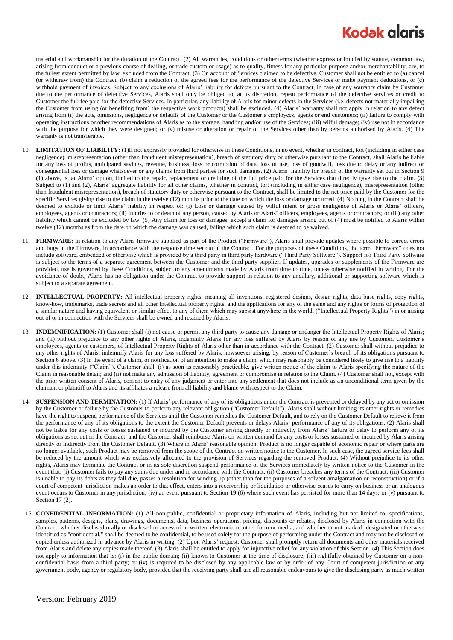## **Kodak glaris**

material and workmanship for the duration of the Contract. (2) All warranties, conditions or other terms (whether express or implied by statute, common law, arising from conduct or a previous course of dealing, or trade custom or usage) as to quality, fitness for any particular purpose and/or merchantability, are, to the fullest extent permitted by law, excluded from the Contract. (3) On account of Services claimed to be defective, Customer shall not be entitled to (a) cancel (or withdraw from) the Contract, (b) claim a reduction of the agreed fees for the performance of the defective Services or make payment deductions, or (c) withhold payment of invoices. Subject to any exclusions of Alaris' liability for defects pursuant to the Contract, in case of any warranty claim by Customer due to the performance of defective Services, Alaris shall only be obliged to, at its discretion, repeat performance of the defective services or credit to Customer the full fee paid for the defective Services. In particular, any liability of Alaris for minor defects in the Services (i.e. defects not materially impairing the Customer from using (or benefiting from) the respective work products) shall be excluded. (4) Alaris' warranty shall not apply in relation to any defect arising from (i) the acts, omissions, negligence or defaults of the Customer or the Customer's employees, agents or end customers; (ii) failure to comply with operating instructions or other recommendations of Alaris as to the storage, handling and/or use of the Services; (iii) wilful damage; (iv) use not in accordance with the purpose for which they were designed; or (v) misuse or alteration or repair of the Services other than by persons authorised by Alaris. (4) The warranty is not transferable.

- 10. **LIMITATION OF LIABILITY:** (1)If not expressly provided for otherwise in these Conditions, in no event, whether in contract, tort (including in either case negligence), misrepresentation (other than fraudulent misrepresentation), breach of statutory duty or otherwise pursuant to the Contract, shall Alaris be liable for any loss of profits, anticipated savings, revenue, business, loss or corruption of data, loss of use, loss of goodwill, loss due to delay or any indirect or consequential loss or damage whatsoever or any claims from third parties for such damages. (2) Alaris' liability for breach of the warranty set out in Section 9 (1) above, is, at Alaris' option, limited to the repair, replacement or crediting of the full price paid for the Services that directly gave rise to the claim. (3) Subject to (1) and (2), Alaris' aggregate liability for all other claims, whether in contract, tort (including in either case negligence), misrepresentation (other than fraudulent misrepresentation), breach of statutory duty or otherwise pursuant to the Contract, shall be limited to the net price paid by the Customer for the specific Services giving rise to the claim in the twelve (12) months prior to the date on which the loss or damage occurred. (4) Nothing in the Contract shall be deemed to exclude or limit Alaris' liability in respect of: (i) Loss or damage caused by wilful intent or gross negligence of Alaris or Alaris' officers, employees, agents or contractors; (ii) Injuries to or death of any person, caused by Alaris or Alaris' officers, employees, agents or contractors; or (iii) any other liability which cannot be excluded by law. (5) Any claim for loss or damages, except a claim for damages arising out of (4) must be notified to Alaris within twelve (12) months as from the date on which the damage was caused, failing which such claim is deemed to be waived.
- 11. **FIRMWARE:** In relation to any Alaris firmware supplied as part of the Product ("Firmware"), Alaris shall provide updates where possible to correct errors and bugs in the Firmware, in accordance with the response time set out in the Contract. For the purposes of these Conditions, the term "Firmware" does not include software, embedded or otherwise which is provided by a third party in third party hardware ("Third Party Software"). Support for Third Party Software is subject to the terms of a separate agreement between the Customer and the third party supplier. If updates, upgrades or supplements of the Firmware are provided, use is governed by these Conditions, subject to any amendments made by Alaris from time to time, unless otherwise notified in writing. For the avoidance of doubt, Alaris has no obligation under the Contract to provide support in relation to any ancillary, additional or supporting software which is subject to a separate agreement.
- 12. **INTELLECTUAL PROPERTY:** All intellectual property rights, meaning all inventions, registered designs, design rights, data base rights, copy rights, know-how, trademarks, trade secrets and all other intellectual property rights, and the applications for any of the same and any rights or forms of protection of a similar nature and having equivalent or similar effect to any of them which may subsist anywhere in the world, ("Intellectual Property Rights") in or arising out of or in connection with the Services shall be owned and retained by Alaris.
- 13. **INDEMNIFICATION:** (1) Customer shall (i) not cause or permit any third party to cause any damage or endanger the Intellectual Property Rights of Alaris; and (ii) without prejudice to any other rights of Alaris, indemnify Alaris for any loss suffered by Alaris by reason of any use by Customer, Customer's employees, agents or customers, of Intellectual Property Rights of Alaris other than in accordance with the Contract. (2) Customer shall without prejudice to any other rights of Alaris, indemnify Alaris for any loss suffered by Alaris, howsoever arising, by reason of Customer's breach of its obligations pursuant to Sectio[n 6](#page-0-0) above. (3) In the event of a claim, or notification of an intention to make a claim, which may reasonably be considered likely to give rise to a liability under this indemnity ("Claim"), Customer shall: (i) as soon as reasonably practicable, give written notice of the claim to Alaris specifying the nature of the Claim in reasonable detail; and (ii) not make any admission of liability, agreement or compromise in relation to the Claim. (4) Customer shall not, except with the prior written consent of Alaris, consent to entry of any judgment or enter into any settlement that does not include as an unconditional term given by the claimant or plaintiff to Alaris and its affiliates a release from all liability and blame with respect to the Claim.
- 14. **SUSPENSION AND TERMINATION:** (1) If Alaris' performance of any of its obligations under the Contract is prevented or delayed by any act or omission by the Customer or failure by the Customer to perform any relevant obligation ("Customer Default"), Alaris shall without limiting its other rights or remedies have the right to suspend performance of the Services until the Customer remedies the Customer Default, and to rely on the Customer Default to relieve it from the performance of any of its obligations to the extent the Customer Default prevents or delays Alaris' performance of any of its obligations. (2) Alaris shall not be liable for any costs or losses sustained or incurred by the Customer arising directly or indirectly from Alaris' failure or delay to perform any of its obligations as set out in the Contract; and the Customer shall reimburse Alaris on written demand for any costs or losses sustained or incurred by Alaris arising directly or indirectly from the Customer Default. (3) Where in Alaris' reasonable opinion, Product is no longer capable of economic repair or where parts are no longer available, such Product may be removed from the scope of the Contract on written notice to the Customer. In such case, the agreed service fees shall be reduced by the amount which was exclusively allocated to the provision of Services regarding the removed Product. (4) Without prejudice to its other rights, Alaris may terminate the Contract or in its sole discretion suspend performance of the Services immediately by written notice to the Customer in the event that; (i) Customer fails to pay any sums due under and in accordance with the Contract; (ii) Customer breaches any terms of the Contract; (iii) Customer is unable to pay its debts as they fall due, passes a resolution for winding up (other than for the purposes of a solvent amalgamation or reconstruction) or if a court of competent jurisdiction makes an order to that effect, enters into a receivership or liquidation or otherwise ceases to carry on business or an analogous event occurs to Customer in any jurisdiction; (iv) an event pursuant to Section 19 (6) where such event has persisted for more than 14 days; or (v) pursuant to Sectio[n 17](#page-2-0) (2).
- 15. **CONFIDENTIAL INFORMATION:** (1) All non-public, confidential or proprietary information of Alaris, including but not limited to, specifications, samples, patterns, designs, plans, drawings, documents, data, business operations, pricing, discounts or rebates, disclosed by Alaris in connection with the Contract, whether disclosed orally or disclosed or accessed in written, electronic or other form or media, and whether or not marked, designated or otherwise identified as "confidential," shall be deemed to be confidential, to be used solely for the purpose of performing under the Contract and may not be disclosed or copied unless authorized in advance by Alaris in writing. (2) Upon Alaris' request, Customer shall promptly return all documents and other materials received from Alaris and delete any copies made thereof. (3) Alaris shall be entitled to apply for injunctive relief for any violation of this Section. (4) This Section does not apply to information that is: (i) in the public domain; (ii) known to Customer at the time of disclosure; (iii) rightfully obtained by Customer on a nonconfidential basis from a third party; or (iv) is required to be disclosed by any applicable law or by order of any Court of competent jurisdiction or any government body, agency or regulatory body, provided that the receiving party shall use all reasonable endeavours to give the disclosing party as much written